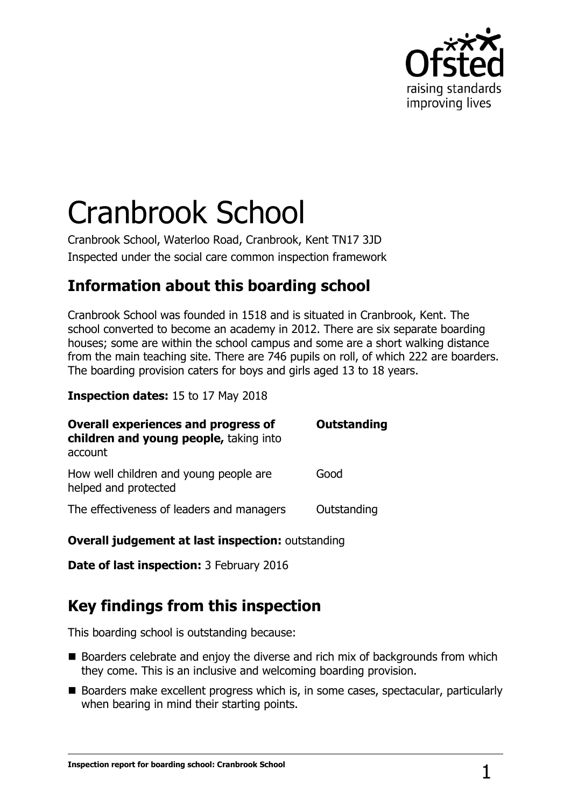

# Cranbrook School

Cranbrook School, Waterloo Road, Cranbrook, Kent TN17 3JD Inspected under the social care common inspection framework

## **Information about this boarding school**

Cranbrook School was founded in 1518 and is situated in Cranbrook, Kent. The school converted to become an academy in 2012. There are six separate boarding houses; some are within the school campus and some are a short walking distance from the main teaching site. There are 746 pupils on roll, of which 222 are boarders. The boarding provision caters for boys and girls aged 13 to 18 years.

**Inspection dates:** 15 to 17 May 2018

| <b>Overall experiences and progress of</b><br>children and young people, taking into<br>account | <b>Outstanding</b> |
|-------------------------------------------------------------------------------------------------|--------------------|
| How well children and young people are<br>helped and protected                                  | Good               |
| The effectiveness of leaders and managers                                                       | Outstanding        |

#### **Overall judgement at last inspection: outstanding**

**Date of last inspection: 3 February 2016** 

# **Key findings from this inspection**

This boarding school is outstanding because:

- Boarders celebrate and enjoy the diverse and rich mix of backgrounds from which they come. This is an inclusive and welcoming boarding provision.
- Boarders make excellent progress which is, in some cases, spectacular, particularly when bearing in mind their starting points.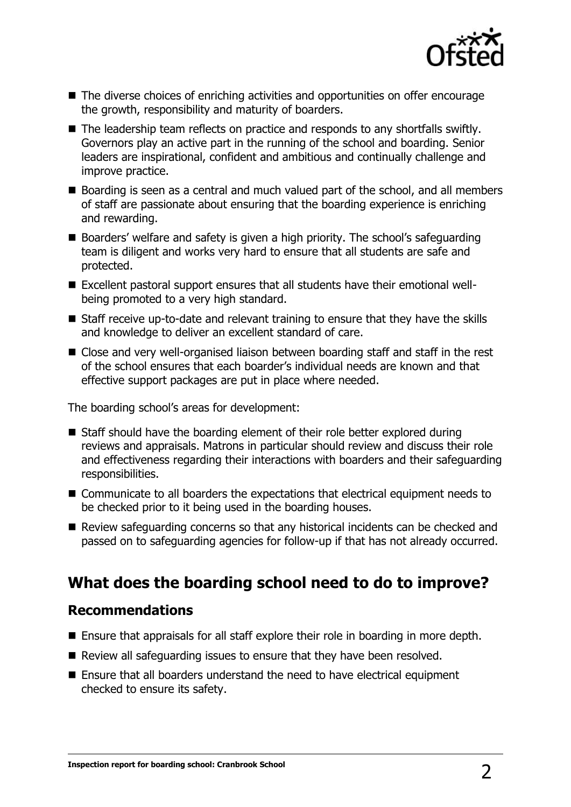

- The diverse choices of enriching activities and opportunities on offer encourage the growth, responsibility and maturity of boarders.
- The leadership team reflects on practice and responds to any shortfalls swiftly. Governors play an active part in the running of the school and boarding. Senior leaders are inspirational, confident and ambitious and continually challenge and improve practice.
- Boarding is seen as a central and much valued part of the school, and all members of staff are passionate about ensuring that the boarding experience is enriching and rewarding.
- Boarders' welfare and safety is given a high priority. The school's safeguarding team is diligent and works very hard to ensure that all students are safe and protected.
- Excellent pastoral support ensures that all students have their emotional wellbeing promoted to a very high standard.
- Staff receive up-to-date and relevant training to ensure that they have the skills and knowledge to deliver an excellent standard of care.
- Close and very well-organised liaison between boarding staff and staff in the rest of the school ensures that each boarder's individual needs are known and that effective support packages are put in place where needed.

The boarding school's areas for development:

- Staff should have the boarding element of their role better explored during reviews and appraisals. Matrons in particular should review and discuss their role and effectiveness regarding their interactions with boarders and their safeguarding responsibilities.
- Communicate to all boarders the expectations that electrical equipment needs to be checked prior to it being used in the boarding houses.
- Review safeguarding concerns so that any historical incidents can be checked and passed on to safeguarding agencies for follow-up if that has not already occurred.

## **What does the boarding school need to do to improve?**

### **Recommendations**

- Ensure that appraisals for all staff explore their role in boarding in more depth.
- Review all safeguarding issues to ensure that they have been resolved.
- Ensure that all boarders understand the need to have electrical equipment checked to ensure its safety.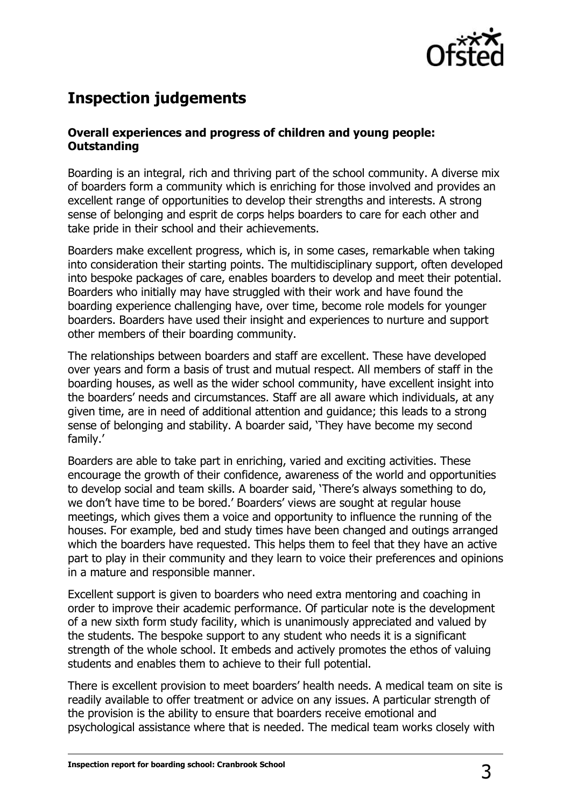

# **Inspection judgements**

#### **Overall experiences and progress of children and young people: Outstanding**

Boarding is an integral, rich and thriving part of the school community. A diverse mix of boarders form a community which is enriching for those involved and provides an excellent range of opportunities to develop their strengths and interests. A strong sense of belonging and esprit de corps helps boarders to care for each other and take pride in their school and their achievements.

Boarders make excellent progress, which is, in some cases, remarkable when taking into consideration their starting points. The multidisciplinary support, often developed into bespoke packages of care, enables boarders to develop and meet their potential. Boarders who initially may have struggled with their work and have found the boarding experience challenging have, over time, become role models for younger boarders. Boarders have used their insight and experiences to nurture and support other members of their boarding community.

The relationships between boarders and staff are excellent. These have developed over years and form a basis of trust and mutual respect. All members of staff in the boarding houses, as well as the wider school community, have excellent insight into the boarders' needs and circumstances. Staff are all aware which individuals, at any given time, are in need of additional attention and guidance; this leads to a strong sense of belonging and stability. A boarder said, 'They have become my second family.'

Boarders are able to take part in enriching, varied and exciting activities. These encourage the growth of their confidence, awareness of the world and opportunities to develop social and team skills. A boarder said, 'There's always something to do, we don't have time to be bored.' Boarders' views are sought at regular house meetings, which gives them a voice and opportunity to influence the running of the houses. For example, bed and study times have been changed and outings arranged which the boarders have requested. This helps them to feel that they have an active part to play in their community and they learn to voice their preferences and opinions in a mature and responsible manner.

Excellent support is given to boarders who need extra mentoring and coaching in order to improve their academic performance. Of particular note is the development of a new sixth form study facility, which is unanimously appreciated and valued by the students. The bespoke support to any student who needs it is a significant strength of the whole school. It embeds and actively promotes the ethos of valuing students and enables them to achieve to their full potential.

There is excellent provision to meet boarders' health needs. A medical team on site is readily available to offer treatment or advice on any issues. A particular strength of the provision is the ability to ensure that boarders receive emotional and psychological assistance where that is needed. The medical team works closely with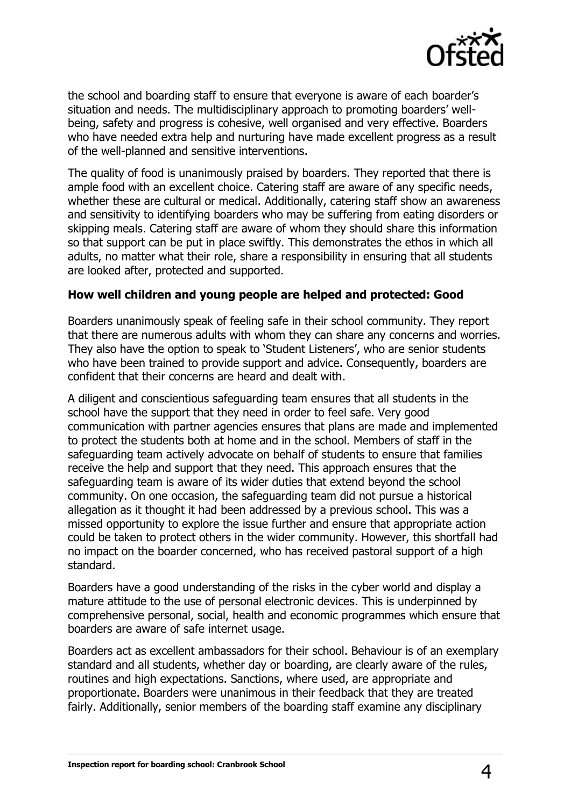

the school and boarding staff to ensure that everyone is aware of each boarder's situation and needs. The multidisciplinary approach to promoting boarders' wellbeing, safety and progress is cohesive, well organised and very effective. Boarders who have needed extra help and nurturing have made excellent progress as a result of the well-planned and sensitive interventions.

The quality of food is unanimously praised by boarders. They reported that there is ample food with an excellent choice. Catering staff are aware of any specific needs, whether these are cultural or medical. Additionally, catering staff show an awareness and sensitivity to identifying boarders who may be suffering from eating disorders or skipping meals. Catering staff are aware of whom they should share this information so that support can be put in place swiftly. This demonstrates the ethos in which all adults, no matter what their role, share a responsibility in ensuring that all students are looked after, protected and supported.

#### **How well children and young people are helped and protected: Good**

Boarders unanimously speak of feeling safe in their school community. They report that there are numerous adults with whom they can share any concerns and worries. They also have the option to speak to 'Student Listeners', who are senior students who have been trained to provide support and advice. Consequently, boarders are confident that their concerns are heard and dealt with.

A diligent and conscientious safeguarding team ensures that all students in the school have the support that they need in order to feel safe. Very good communication with partner agencies ensures that plans are made and implemented to protect the students both at home and in the school. Members of staff in the safeguarding team actively advocate on behalf of students to ensure that families receive the help and support that they need. This approach ensures that the safeguarding team is aware of its wider duties that extend beyond the school community. On one occasion, the safeguarding team did not pursue a historical allegation as it thought it had been addressed by a previous school. This was a missed opportunity to explore the issue further and ensure that appropriate action could be taken to protect others in the wider community. However, this shortfall had no impact on the boarder concerned, who has received pastoral support of a high standard.

Boarders have a good understanding of the risks in the cyber world and display a mature attitude to the use of personal electronic devices. This is underpinned by comprehensive personal, social, health and economic programmes which ensure that boarders are aware of safe internet usage.

Boarders act as excellent ambassadors for their school. Behaviour is of an exemplary standard and all students, whether day or boarding, are clearly aware of the rules, routines and high expectations. Sanctions, where used, are appropriate and proportionate. Boarders were unanimous in their feedback that they are treated fairly. Additionally, senior members of the boarding staff examine any disciplinary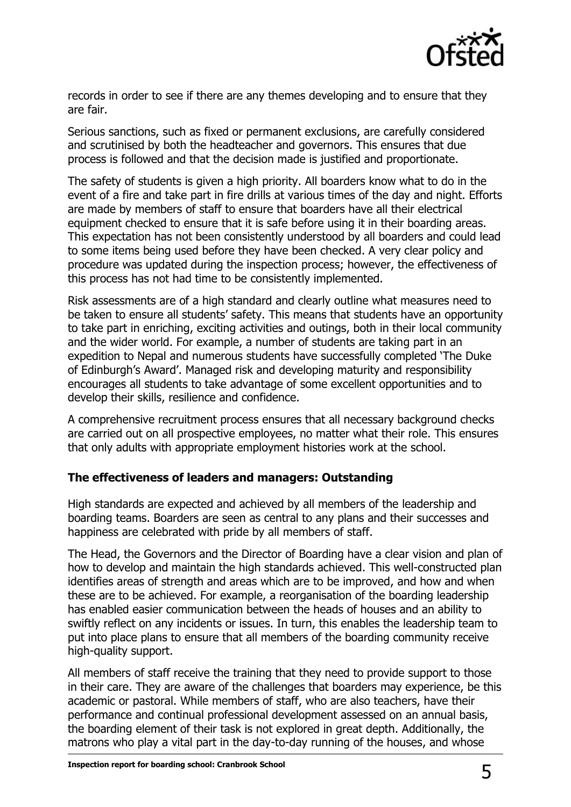

records in order to see if there are any themes developing and to ensure that they are fair.

Serious sanctions, such as fixed or permanent exclusions, are carefully considered and scrutinised by both the headteacher and governors. This ensures that due process is followed and that the decision made is justified and proportionate.

The safety of students is given a high priority. All boarders know what to do in the event of a fire and take part in fire drills at various times of the day and night. Efforts are made by members of staff to ensure that boarders have all their electrical equipment checked to ensure that it is safe before using it in their boarding areas. This expectation has not been consistently understood by all boarders and could lead to some items being used before they have been checked. A very clear policy and procedure was updated during the inspection process; however, the effectiveness of this process has not had time to be consistently implemented.

Risk assessments are of a high standard and clearly outline what measures need to be taken to ensure all students' safety. This means that students have an opportunity to take part in enriching, exciting activities and outings, both in their local community and the wider world. For example, a number of students are taking part in an expedition to Nepal and numerous students have successfully completed 'The Duke of Edinburgh's Award'. Managed risk and developing maturity and responsibility encourages all students to take advantage of some excellent opportunities and to develop their skills, resilience and confidence.

A comprehensive recruitment process ensures that all necessary background checks are carried out on all prospective employees, no matter what their role. This ensures that only adults with appropriate employment histories work at the school.

#### **The effectiveness of leaders and managers: Outstanding**

High standards are expected and achieved by all members of the leadership and boarding teams. Boarders are seen as central to any plans and their successes and happiness are celebrated with pride by all members of staff.

The Head, the Governors and the Director of Boarding have a clear vision and plan of how to develop and maintain the high standards achieved. This well-constructed plan identifies areas of strength and areas which are to be improved, and how and when these are to be achieved. For example, a reorganisation of the boarding leadership has enabled easier communication between the heads of houses and an ability to swiftly reflect on any incidents or issues. In turn, this enables the leadership team to put into place plans to ensure that all members of the boarding community receive high-quality support.

All members of staff receive the training that they need to provide support to those in their care. They are aware of the challenges that boarders may experience, be this academic or pastoral. While members of staff, who are also teachers, have their performance and continual professional development assessed on an annual basis, the boarding element of their task is not explored in great depth. Additionally, the matrons who play a vital part in the day-to-day running of the houses, and whose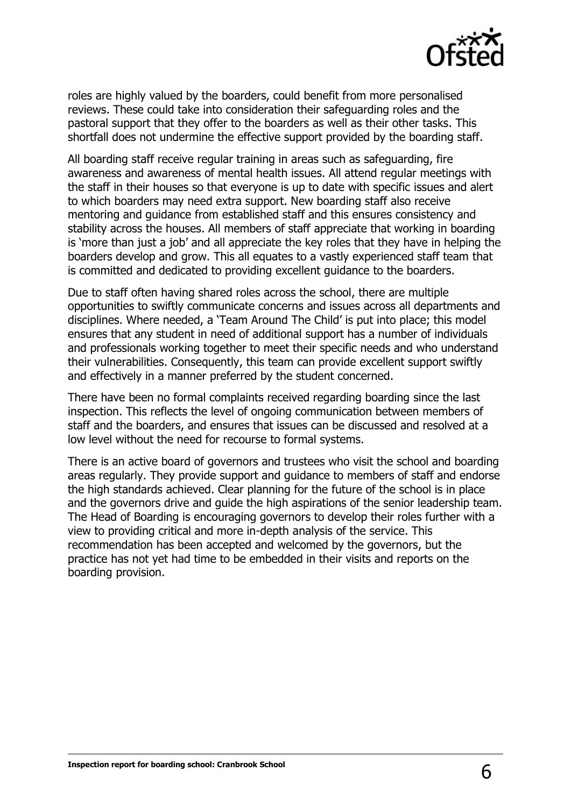

roles are highly valued by the boarders, could benefit from more personalised reviews. These could take into consideration their safeguarding roles and the pastoral support that they offer to the boarders as well as their other tasks. This shortfall does not undermine the effective support provided by the boarding staff.

All boarding staff receive regular training in areas such as safeguarding, fire awareness and awareness of mental health issues. All attend regular meetings with the staff in their houses so that everyone is up to date with specific issues and alert to which boarders may need extra support. New boarding staff also receive mentoring and guidance from established staff and this ensures consistency and stability across the houses. All members of staff appreciate that working in boarding is 'more than just a job' and all appreciate the key roles that they have in helping the boarders develop and grow. This all equates to a vastly experienced staff team that is committed and dedicated to providing excellent guidance to the boarders.

Due to staff often having shared roles across the school, there are multiple opportunities to swiftly communicate concerns and issues across all departments and disciplines. Where needed, a 'Team Around The Child' is put into place; this model ensures that any student in need of additional support has a number of individuals and professionals working together to meet their specific needs and who understand their vulnerabilities. Consequently, this team can provide excellent support swiftly and effectively in a manner preferred by the student concerned.

There have been no formal complaints received regarding boarding since the last inspection. This reflects the level of ongoing communication between members of staff and the boarders, and ensures that issues can be discussed and resolved at a low level without the need for recourse to formal systems.

There is an active board of governors and trustees who visit the school and boarding areas regularly. They provide support and guidance to members of staff and endorse the high standards achieved. Clear planning for the future of the school is in place and the governors drive and guide the high aspirations of the senior leadership team. The Head of Boarding is encouraging governors to develop their roles further with a view to providing critical and more in-depth analysis of the service. This recommendation has been accepted and welcomed by the governors, but the practice has not yet had time to be embedded in their visits and reports on the boarding provision.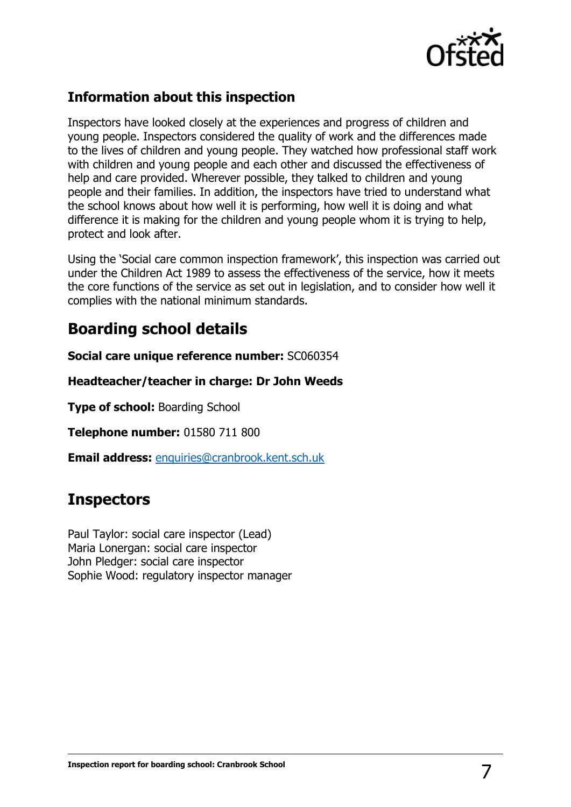

## **Information about this inspection**

Inspectors have looked closely at the experiences and progress of children and young people. Inspectors considered the quality of work and the differences made to the lives of children and young people. They watched how professional staff work with children and young people and each other and discussed the effectiveness of help and care provided. Wherever possible, they talked to children and young people and their families. In addition, the inspectors have tried to understand what the school knows about how well it is performing, how well it is doing and what difference it is making for the children and young people whom it is trying to help, protect and look after.

Using the 'Social care common inspection framework', this inspection was carried out under the Children Act 1989 to assess the effectiveness of the service, how it meets the core functions of the service as set out in legislation, and to consider how well it complies with the national minimum standards.

## **Boarding school details**

**Social care unique reference number:** SC060354

**Headteacher/teacher in charge: Dr John Weeds**

**Type of school: Boarding School** 

**Telephone number:** 01580 711 800

**Email address:** [enquiries@cranbrook.kent.sch.uk](mailto:enquiries@cranbrook.kent.sch.uk)

## **Inspectors**

Paul Taylor: social care inspector (Lead) Maria Lonergan: social care inspector John Pledger: social care inspector Sophie Wood: regulatory inspector manager